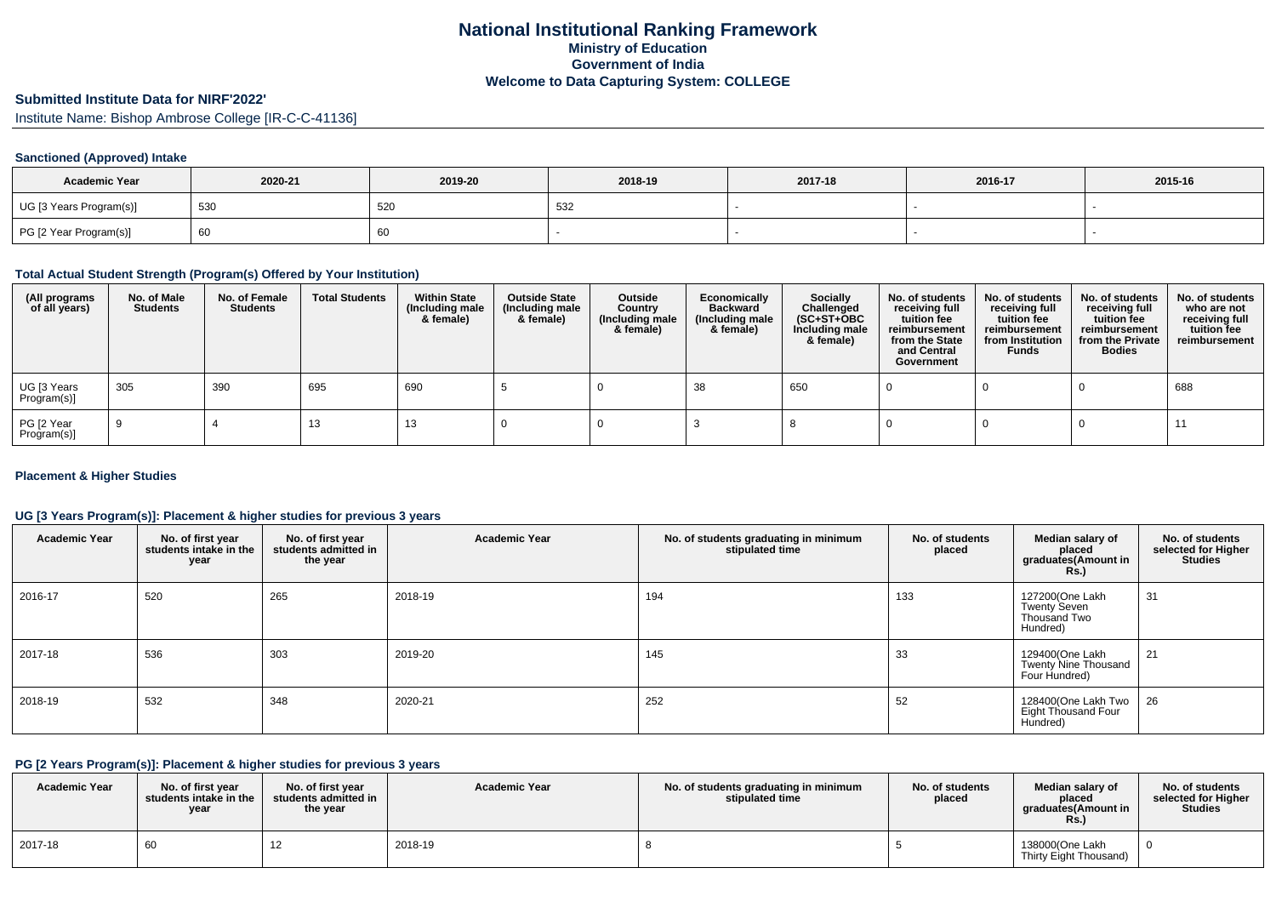# **Submitted Institute Data for NIRF'2022'**

Institute Name: Bishop Ambrose College [IR-C-C-41136]

#### **Sanctioned (Approved) Intake**

| <b>Academic Year</b>    | 2020-21 | 2019-20 | 2018-19 | 2017-18 | 2016-17 | 2015-16 |
|-------------------------|---------|---------|---------|---------|---------|---------|
| UG [3 Years Program(s)] | 530     | 520     | 532     |         |         |         |
| PG [2 Year Program(s)]  | ൛       | 60      |         |         |         |         |

#### **Total Actual Student Strength (Program(s) Offered by Your Institution)**

| (All programs<br>of all years) | No. of Male<br><b>Students</b> | No. of Female<br>Students | <b>Total Students</b> | <b>Within State</b><br>(Including male<br>& female) | <b>Outside State</b><br>(Including male<br>& female) | Outside<br>Country<br>(Including male<br>& female) | Economically<br><b>Backward</b><br>(Including male<br>& female) | <b>Socially</b><br>Challenged<br>$(SC+ST+OBC)$<br>Including male<br>& female) | No. of students<br>receiving full<br>tuition fee<br>reimbursement<br>from the State<br>and Central<br>Government | No. of students<br>receiving full<br>tuition fee<br>reimbursement<br>from Institution<br><b>Funds</b> | No. of students<br>receiving full<br>tuition fee<br>reimbursement<br>from the Private<br><b>Bodies</b> | No. of students<br>who are not<br>receiving full<br>tuition fee<br>reimbursement |
|--------------------------------|--------------------------------|---------------------------|-----------------------|-----------------------------------------------------|------------------------------------------------------|----------------------------------------------------|-----------------------------------------------------------------|-------------------------------------------------------------------------------|------------------------------------------------------------------------------------------------------------------|-------------------------------------------------------------------------------------------------------|--------------------------------------------------------------------------------------------------------|----------------------------------------------------------------------------------|
| UG [3 Years<br>Program(s)]     | 305                            | 390                       | 695                   | 690                                                 |                                                      |                                                    | 38                                                              | 650                                                                           |                                                                                                                  |                                                                                                       |                                                                                                        | 688                                                                              |
| PG [2 Year<br>Program(s)]      |                                |                           | د١                    | 13                                                  |                                                      |                                                    |                                                                 |                                                                               |                                                                                                                  |                                                                                                       |                                                                                                        |                                                                                  |

#### **Placement & Higher Studies**

#### **UG [3 Years Program(s)]: Placement & higher studies for previous 3 years**

| <b>Academic Year</b> | No. of first year<br>students intake in the<br>year | No. of first year<br>students admitted in<br>the year | <b>Academic Year</b> | No. of students graduating in minimum<br>stipulated time | No. of students<br>placed | Median salary of<br>placed<br>graduates(Amount in<br><b>Rs.</b> )  | No. of students<br>selected for Higher<br><b>Studies</b> |
|----------------------|-----------------------------------------------------|-------------------------------------------------------|----------------------|----------------------------------------------------------|---------------------------|--------------------------------------------------------------------|----------------------------------------------------------|
| 2016-17              | 520                                                 | 265                                                   | 2018-19              | 194                                                      | 133                       | 127200(One Lakh<br><b>Twenty Seven</b><br>Thousand Two<br>Hundred) | 31                                                       |
| 2017-18              | 536                                                 | 303                                                   | 2019-20              | 145                                                      | 33                        | 129400(One Lakh<br>Twenty Nine Thousand<br>Four Hundred)           | 21                                                       |
| 2018-19              | 532                                                 | 348                                                   | 2020-21              | 252                                                      | 52                        | 128400(One Lakh Two<br><b>Eight Thousand Four</b><br>Hundred)      | $\vert$ 26                                               |

#### **PG [2 Years Program(s)]: Placement & higher studies for previous 3 years**

| <b>Academic Year</b> | No. of first vear<br>students intake in the<br>year | No. of first vear<br>students admitted in<br>the year | <b>Academic Year</b> | No. of students graduating in minimum<br>stipulated time | No. of students<br>placed | Median salary of<br>placed<br>araduates(Amount in<br>Rs. | No. of students<br>selected for Higher<br><b>Studies</b> |
|----------------------|-----------------------------------------------------|-------------------------------------------------------|----------------------|----------------------------------------------------------|---------------------------|----------------------------------------------------------|----------------------------------------------------------|
| 2017-18              | 60                                                  |                                                       | 2018-19              |                                                          |                           | 138000(One Lakh<br>Thirty Eight Thousand)                |                                                          |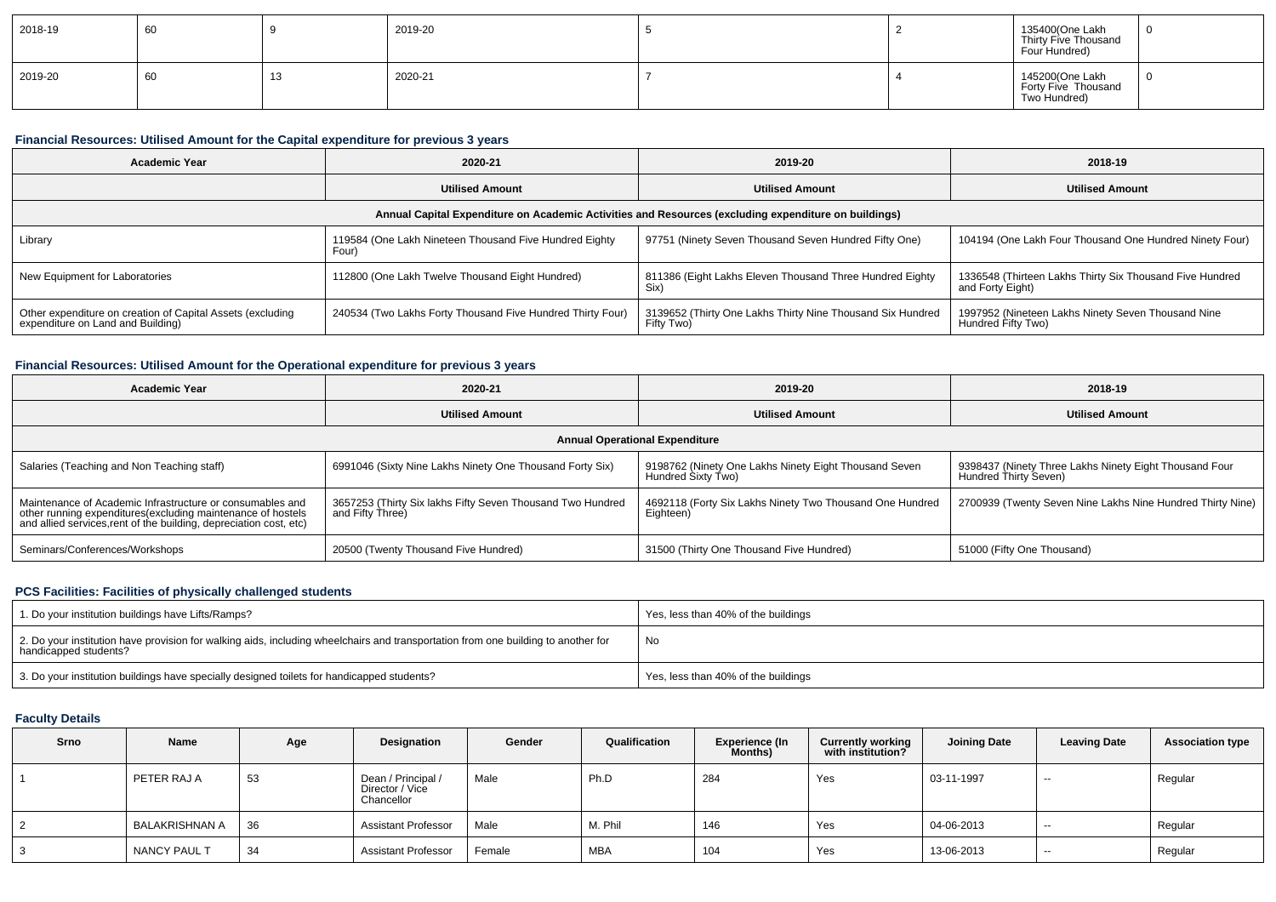| 2018-19 | 60 | 2019-20 |  | 135400(One Lakh<br>Thirty Five Thousand<br>Four Hundred) |  |
|---------|----|---------|--|----------------------------------------------------------|--|
| 2019-20 | 60 | 2020-21 |  | 145200(One Lakh<br>Forty Five Thousand<br>Two Hundred)   |  |

#### **Financial Resources: Utilised Amount for the Capital expenditure for previous 3 years**

| Academic Year                                                                                        | 2020-21                                                         | 2019-20                                                                  | 2018-19                                                                      |  |  |  |  |  |  |  |
|------------------------------------------------------------------------------------------------------|-----------------------------------------------------------------|--------------------------------------------------------------------------|------------------------------------------------------------------------------|--|--|--|--|--|--|--|
|                                                                                                      | <b>Utilised Amount</b>                                          | <b>Utilised Amount</b>                                                   | <b>Utilised Amount</b>                                                       |  |  |  |  |  |  |  |
| Annual Capital Expenditure on Academic Activities and Resources (excluding expenditure on buildings) |                                                                 |                                                                          |                                                                              |  |  |  |  |  |  |  |
| Library                                                                                              | 119584 (One Lakh Nineteen Thousand Five Hundred Eighty<br>Four` | 97751 (Ninety Seven Thousand Seven Hundred Fifty One)                    | 104194 (One Lakh Four Thousand One Hundred Ninety Four)                      |  |  |  |  |  |  |  |
| New Equipment for Laboratories                                                                       | 112800 (One Lakh Twelve Thousand Eight Hundred)                 | 811386 (Eight Lakhs Eleven Thousand Three Hundred Eighty<br>Six)         | 1336548 (Thirteen Lakhs Thirty Six Thousand Five Hundred<br>and Forty Eight) |  |  |  |  |  |  |  |
| Other expenditure on creation of Capital Assets (excluding<br>expenditure on Land and Building)      | 240534 (Two Lakhs Forty Thousand Five Hundred Thirty Four)      | 3139652 (Thirty One Lakhs Thirty Nine Thousand Six Hundred<br>Fifty Two) | 1997952 (Nineteen Lakhs Ninety Seven Thousand Nine<br>Hundred Fifty Two)     |  |  |  |  |  |  |  |

### **Financial Resources: Utilised Amount for the Operational expenditure for previous 3 years**

| <b>Academic Year</b>                                                                                                                                                                            | 2020-21                                                                        | 2019-20                                                                     | 2018-19                                                                         |  |  |  |  |  |  |  |
|-------------------------------------------------------------------------------------------------------------------------------------------------------------------------------------------------|--------------------------------------------------------------------------------|-----------------------------------------------------------------------------|---------------------------------------------------------------------------------|--|--|--|--|--|--|--|
|                                                                                                                                                                                                 | <b>Utilised Amount</b>                                                         | <b>Utilised Amount</b>                                                      | <b>Utilised Amount</b>                                                          |  |  |  |  |  |  |  |
| <b>Annual Operational Expenditure</b>                                                                                                                                                           |                                                                                |                                                                             |                                                                                 |  |  |  |  |  |  |  |
| Salaries (Teaching and Non Teaching staff)                                                                                                                                                      | 6991046 (Sixty Nine Lakhs Ninety One Thousand Forty Six)                       | 9198762 (Ninety One Lakhs Ninety Eight Thousand Seven<br>Hundred Sixty Two) | 9398437 (Ninety Three Lakhs Ninety Eight Thousand Four<br>Hundred Thirty Seven) |  |  |  |  |  |  |  |
| Maintenance of Academic Infrastructure or consumables and<br>other running expenditures (excluding maintenance of hostels<br>and allied services, rent of the building, depreciation cost, etc) | 3657253 (Thirty Six lakhs Fifty Seven Thousand Two Hundred<br>and Fifty Three) | 4692118 (Forty Six Lakhs Ninety Two Thousand One Hundred<br>Eighteen)       | 2700939 (Twenty Seven Nine Lakhs Nine Hundred Thirty Nine)                      |  |  |  |  |  |  |  |
| Seminars/Conferences/Workshops                                                                                                                                                                  | 20500 (Twenty Thousand Five Hundred)                                           | 31500 (Thirty One Thousand Five Hundred)                                    | 51000 (Fifty One Thousand)                                                      |  |  |  |  |  |  |  |

## **PCS Facilities: Facilities of physically challenged students**

| 1. Do your institution buildings have Lifts/Ramps?                                                                                                         | Yes, less than 40% of the buildings |
|------------------------------------------------------------------------------------------------------------------------------------------------------------|-------------------------------------|
| 2. Do your institution have provision for walking aids, including wheelchairs and transportation from one building to another for<br>handicapped students? | No                                  |
| 3. Do your institution buildings have specially designed toilets for handicapped students?                                                                 | Yes, less than 40% of the buildings |

#### **Faculty Details**

| Srno | Name             | Age | Designation                                         | Gender | Qualification | <b>Experience (In</b><br>Months) | <b>Currently working</b><br>with institution? | <b>Joining Date</b> | <b>Leaving Date</b> | <b>Association type</b> |
|------|------------------|-----|-----------------------------------------------------|--------|---------------|----------------------------------|-----------------------------------------------|---------------------|---------------------|-------------------------|
|      | PETER RAJ A      | 53  | Dean / Principal /<br>Director / Vice<br>Chancellor | Male   | Ph.D          | 284                              | Yes                                           | 03-11-1997          | --                  | Regular                 |
|      | I BALAKRISHNAN A | 36  | <b>Assistant Professor</b>                          | Male   | M. Phil       | 146                              | Yes                                           | 04-06-2013          | --                  | Regular                 |
|      | NANCY PAUL T     | 34  | <b>Assistant Professor</b>                          | Female | <b>MBA</b>    | 104                              | Yes                                           | 13-06-2013          | --                  | Regular                 |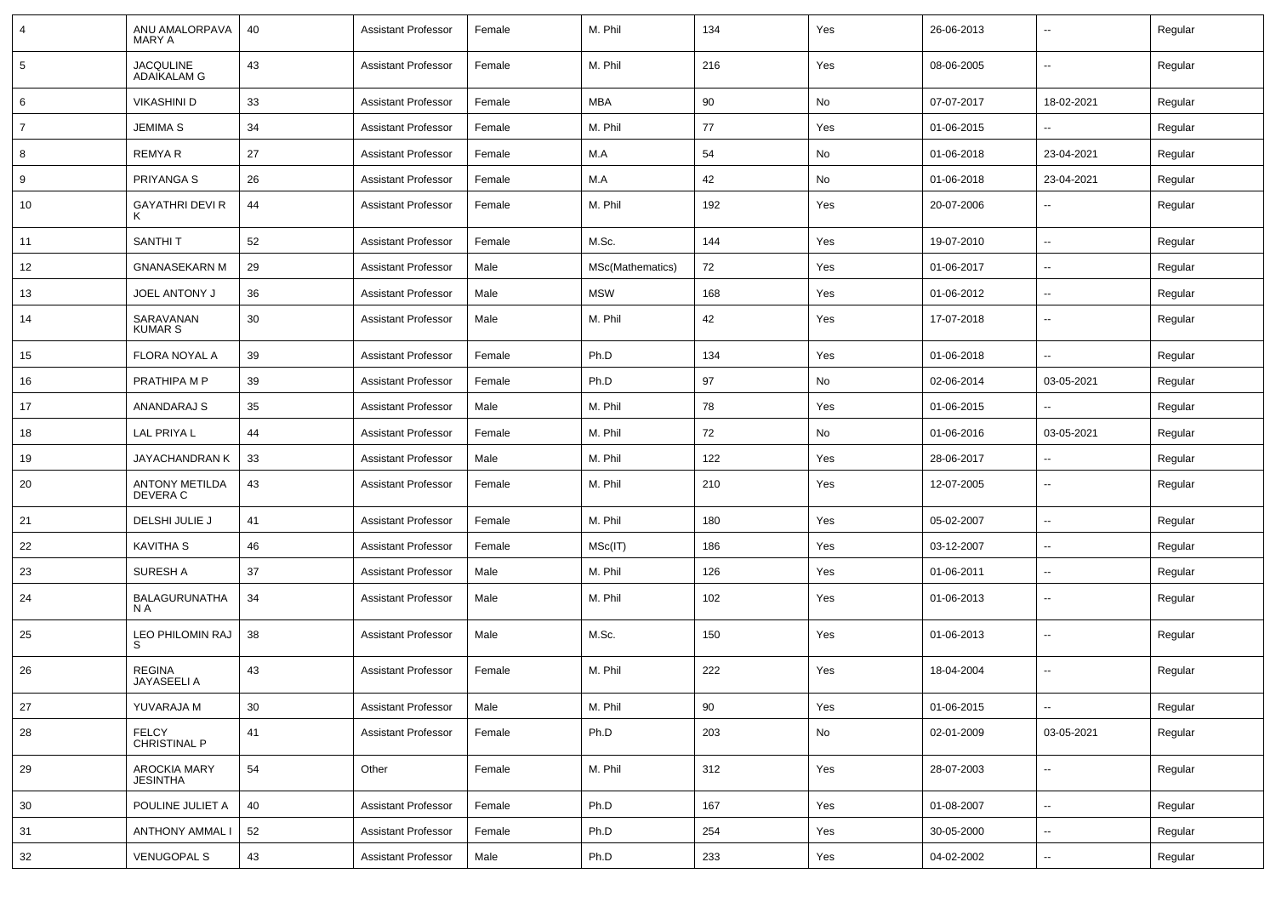| 4              | ANU AMALORPAVA<br>MARY A               | 40 | <b>Assistant Professor</b> | Female | M. Phil          | 134 | Yes | 26-06-2013 | $\sim$                   | Regular |
|----------------|----------------------------------------|----|----------------------------|--------|------------------|-----|-----|------------|--------------------------|---------|
| 5              | <b>JACQULINE</b><br><b>ADAIKALAM G</b> | 43 | <b>Assistant Professor</b> | Female | M. Phil          | 216 | Yes | 08-06-2005 | $\sim$                   | Regular |
| 6              | <b>VIKASHINI D</b>                     | 33 | <b>Assistant Professor</b> | Female | <b>MBA</b>       | 90  | No  | 07-07-2017 | 18-02-2021               | Regular |
| $\overline{7}$ | <b>JEMIMA S</b>                        | 34 | <b>Assistant Professor</b> | Female | M. Phil          | 77  | Yes | 01-06-2015 | $\overline{\phantom{a}}$ | Regular |
| 8              | REMYA R                                | 27 | <b>Assistant Professor</b> | Female | M.A              | 54  | No  | 01-06-2018 | 23-04-2021               | Regular |
| 9              | PRIYANGA S                             | 26 | <b>Assistant Professor</b> | Female | M.A              | 42  | No  | 01-06-2018 | 23-04-2021               | Regular |
| 10             | <b>GAYATHRI DEVI R</b><br>Κ            | 44 | <b>Assistant Professor</b> | Female | M. Phil          | 192 | Yes | 20-07-2006 | --                       | Regular |
| 11             | <b>SANTHIT</b>                         | 52 | <b>Assistant Professor</b> | Female | M.Sc.            | 144 | Yes | 19-07-2010 | $\overline{\phantom{a}}$ | Regular |
| 12             | <b>GNANASEKARN M</b>                   | 29 | <b>Assistant Professor</b> | Male   | MSc(Mathematics) | 72  | Yes | 01-06-2017 | $\sim$                   | Regular |
| 13             | <b>JOEL ANTONY J</b>                   | 36 | <b>Assistant Professor</b> | Male   | <b>MSW</b>       | 168 | Yes | 01-06-2012 | $\sim$                   | Regular |
| 14             | SARAVANAN<br><b>KUMAR S</b>            | 30 | <b>Assistant Professor</b> | Male   | M. Phil          | 42  | Yes | 17-07-2018 | $\sim$                   | Regular |
| 15             | FLORA NOYAL A                          | 39 | <b>Assistant Professor</b> | Female | Ph.D             | 134 | Yes | 01-06-2018 | $\overline{\phantom{a}}$ | Regular |
| 16             | PRATHIPA M P                           | 39 | <b>Assistant Professor</b> | Female | Ph.D             | 97  | No  | 02-06-2014 | 03-05-2021               | Regular |
| 17             | ANANDARAJ S                            | 35 | <b>Assistant Professor</b> | Male   | M. Phil          | 78  | Yes | 01-06-2015 |                          | Regular |
| 18             | LAL PRIYA L                            | 44 | <b>Assistant Professor</b> | Female | M. Phil          | 72  | No  | 01-06-2016 | 03-05-2021               | Regular |
| 19             | JAYACHANDRAN K                         | 33 | <b>Assistant Professor</b> | Male   | M. Phil          | 122 | Yes | 28-06-2017 | $\sim$                   | Regular |
| 20             | <b>ANTONY METILDA</b><br>DEVERA C      | 43 | <b>Assistant Professor</b> | Female | M. Phil          | 210 | Yes | 12-07-2005 | $\sim$                   | Regular |
| 21             | DELSHI JULIE J                         | 41 | <b>Assistant Professor</b> | Female | M. Phil          | 180 | Yes | 05-02-2007 | $\sim$                   | Regular |
| 22             | <b>KAVITHA S</b>                       | 46 | <b>Assistant Professor</b> | Female | MSc(IT)          | 186 | Yes | 03-12-2007 | $\sim$                   | Regular |
| 23             | SURESH A                               | 37 | <b>Assistant Professor</b> | Male   | M. Phil          | 126 | Yes | 01-06-2011 | $\overline{\phantom{a}}$ | Regular |
| 24             | <b>BALAGURUNATHA</b><br>N A            | 34 | <b>Assistant Professor</b> | Male   | M. Phil          | 102 | Yes | 01-06-2013 | $\overline{\phantom{a}}$ | Regular |
| 25             | LEO PHILOMIN RAJ<br>S                  | 38 | <b>Assistant Professor</b> | Male   | M.Sc.            | 150 | Yes | 01-06-2013 | --                       | Regular |
| 26             | <b>REGINA</b><br>JAYASEELI A           | 43 | <b>Assistant Professor</b> | Female | M. Phil          | 222 | Yes | 18-04-2004 | $\overline{\phantom{a}}$ | Regular |
| $27\,$         | YUVARAJA M                             | 30 | <b>Assistant Professor</b> | Male   | M. Phil          | 90  | Yes | 01-06-2015 | $\overline{\phantom{a}}$ | Regular |
| 28             | <b>FELCY</b><br>CHRISTINAL P           | 41 | <b>Assistant Professor</b> | Female | Ph.D             | 203 | No  | 02-01-2009 | 03-05-2021               | Regular |
| 29             | AROCKIA MARY<br><b>JESINTHA</b>        | 54 | Other                      | Female | M. Phil          | 312 | Yes | 28-07-2003 | $\sim$                   | Regular |
| 30             | POULINE JULIET A                       | 40 | <b>Assistant Professor</b> | Female | Ph.D             | 167 | Yes | 01-08-2007 | $\sim$                   | Regular |
| 31             | <b>ANTHONY AMMAL I</b>                 | 52 | <b>Assistant Professor</b> | Female | Ph.D             | 254 | Yes | 30-05-2000 | $\sim$                   | Regular |
| 32             | <b>VENUGOPAL S</b>                     | 43 | <b>Assistant Professor</b> | Male   | Ph.D             | 233 | Yes | 04-02-2002 | $\sim$                   | Regular |